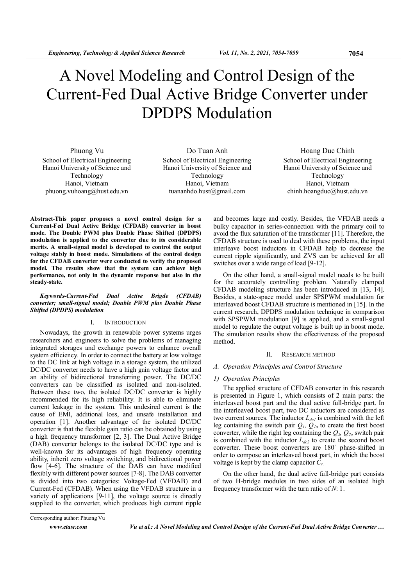# A Novel Modeling and Control Design of the Current-Fed Dual Active Bridge Converter under DPDPS Modulation

Phuong Vu School of Electrical Engineering Hanoi University of Science and Technology Hanoi, Vietnam phuong.vuhoang@hust.edu.vn

Do Tuan Anh School of Electrical Engineering Hanoi University of Science and Technology Hanoi, Vietnam tuananhdo.hust@gmail.com

Hoang Duc Chinh School of Electrical Engineering Hanoi University of Science and Technology Hanoi, Vietnam chinh.hoangduc@hust.edu.vn

Abstract-This paper proposes a novel control design for a Current-Fed Dual Active Bridge (CFDAB) converter in boost mode. The Double PWM plus Double Phase Shifted (DPDPS) modulation is applied to the converter due to its considerable merits. A small-signal model is developed to control the output voltage stably in boost mode. Simulations of the control design for the CFDAB converter were conducted to verify the proposed model. The results show that the system can achieve high performance, not only in the dynamic response but also in the steady-state.

# Keywords-Current-Fed Dual Active Brigde (CFDAB) converter; small-signal model; Double PWM plus Double Phase Shifted (DPDPS) modulation

# I. INTRODUCTION

Nowadays, the growth in renewable power systems urges researchers and engineers to solve the problems of managing integrated storages and exchange powers to enhance overall system efficiency. In order to connect the battery at low voltage to the DC link at high voltage in a storage system, the utilized DC/DC converter needs to have a high gain voltage factor and an ability of bidirectional transferring power. The DC/DC converters can be classified as isolated and non-isolated. Between these two, the isolated DC/DC converter is highly recommended for its high reliability. It is able to eliminate current leakage in the system. This undesired current is the cause of EMI, additional loss, and unsafe installation and operation [1]. Another advantage of the isolated DC/DC converter is that the flexible gain ratio can be obtained by using a high frequency transformer [2, 3]. The Dual Active Bridge (DAB) converter belongs to the isolated DC/DC type and is well-known for its advantages of high frequency operating ability, inherit zero voltage switching, and bidirectional power flow [4-6]. The structure of the DAB can have modified flexibly with different power sources [7-8]. The DAB converter is divided into two categories: Voltage-Fed (VFDAB) and Current-Fed (CFDAB). When using the VFDAB structure in a variety of applications [9-11], the voltage source is directly supplied to the converter, which produces high current ripple

and becomes large and costly. Besides, the VFDAB needs a bulky capacitor in series-connection with the primary coil to avoid the flux saturation of the transformer [11]. Therefore, the CFDAB structure is used to deal with these problems, the input interleave boost inductors in CFDAB help to decrease the current ripple significantly, and ZVS can be achieved for all switches over a wide range of load [9-12].

On the other hand, a small-signal model needs to be built for the accurately controlling problem. Naturally clamped CFDAB modeling structure has been introduced in [13, 14]. Besides, a state-space model under SPSPWM modulation for interleaved boost CFDAB structure is mentioned in [15]. In the current research, DPDPS modulation technique in comparison with SPSPWM modulation [9] is applied, and a small-signal model to regulate the output voltage is built up in boost mode. The simulation results show the effectiveness of the proposed method.

# II. RESEARCH METHOD

# A. Operation Principles and Control Structure

# 1) Operation Principles

The applied structure of CFDAB converter in this research is presented in Figure 1, which consists of 2 main parts: the interleaved boost part and the dual active full-bridge part. In the interleaved boost part, two DC inductors are considered as two current sources. The inductor  $L_{dcl}$  is combined with the left leg containing the switch pair  $Q_l$ ,  $Q_{la}$  to create the first boost converter, while the right leg containing the  $Q_2$ ,  $Q_{2a}$  switch pair is combined with the inductor  $L_{dc2}$  to create the second boost converter. These boost converters are 180˚ phase-shifted in order to compose an interleaved boost part, in which the boost voltage is kept by the clamp capacitor  $C_c$ .

On the other hand, the dual active full-bridge part consists of two H-bridge modules in two sides of an isolated high frequency transformer with the turn ratio of  $N: 1$ .

Corresponding author: Phuong Vu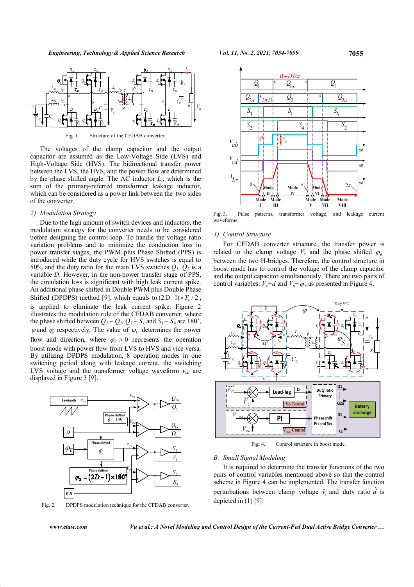

Fig. 1. Structure of the CFDAB converter.

The voltages of the clamp capacitor and the output capacitor are assumed as the Low-Voltage Side (LVS) and High-Voltage Side (HVS). The bidirectional transfer power between the LVS, the HVS, and the power flow are determined by the phase shifted angle. The AC inductor  $L_r$ , which is the sum of the primary-referred transformer leakage inductor, which can be considered as a power link between the two sides of the converter.

### 2) Modulation Strategy

Due to the high amount of switch devices and inductors, the modulation strategy for the converter needs to be considered before designing the control loop. To handle the voltage ratio variation problems and to minimize the conduction loss in power transfer stages, the PWM plus Phase Shifted (PPS) is introduced while the duty cycle for HVS switches is equal to 50% and the duty ratio for the main LVS switches  $Q_1$ ,  $Q_2$  is a variable D. However, in the non-power transfer stage of PPS, the circulation loss is significant with high leak current spike. An additional phase shifted in Double PWM plus Double Phase Shifted (DPDPS) method [9], which equals to  $(2D-1)\times T_s / 2$ , is applied to eliminate the leak current spike. Figure 2 illustrates the modulation rule of the CFDAB converter, where the phase shifted between  $Q_1 - Q_2$ ,  $Q_2 - S_1$  and  $S_1 - S_4$  are 180°,  $\varphi$  and  $\varphi_s$  respectively. The value of  $\varphi$ <sub>E</sub> determines the power flow and direction, where  $\varphi_E > 0$  represents the operation boost mode with power flow from LVS to HVS and vice versa. By utilizing DPDPS modulation, 8 operation modes in one switching period along with leakage current, the switching LVS voltage and the transformer voltage waveform  $v_{cd}$  are displayed in Figure 3 [9].



Fig. 2. DPDPS modulation technique for the CFDAB converter.



Fig. 3. Pulse patterns, transformer voltage, and leakage current waveforms.

### 3) Control Structure

For CFDAB converter structure, the transfer power is related to the clamp voltage  $V_c$  and the phase shifted  $\varphi_E$ between the two H-bridges. Therefore, the control structure in boost mode has to control the voltage of the clamp capacitor and the output capacitor simultaneously. There are two pairs of control variables:  $V_c-d$  and  $V_o-\varphi$ , as presented in Figure 4.



Fig. 4. Control structure in boost mode.

# B. Small Signal Modeling

It is required to determine the transfer functions of the two pairs of control variables mentioned above so that the control scheme in Figure 4 can be implemented. The transfer function perturbations between clamp voltage  $\hat{v}_c$  and duty ratio  $\hat{d}$  is depicted in (1) [9]: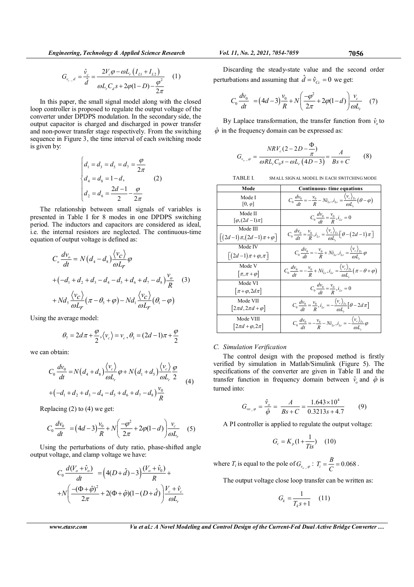$$
G_{v_{c-d}} = \frac{\hat{v}_c}{\hat{d}} = \frac{2V_c \varphi - \omega L_r (I_{L1} + I_{L2})}{\omega L_r C_d s + 2\varphi (1 - D) - \frac{\varphi^2}{2\pi}} \tag{1}
$$

In this paper, the small signal model along with the closed loop controller is proposed to regulate the output voltage of the converter under DPDPS modulation. In the secondary side, the output capacitor is charged and discharged in power transfer and non-power transfer stage respectively. From the switching sequence in Figure 3, the time interval of each switching mode is given by:

$$
\begin{cases}\nd_1 = d_3 = d_5 = d_7 = \frac{\varphi}{2\pi} \\
d_4 = d_8 = 1 - d, \\
d_2 = d_6 = \frac{2d - 1}{2} - \frac{\varphi}{2\pi}\n\end{cases}
$$
\n(2)

The relationship between small signals of variables is presented in Table I for 8 modes in one DPDPS switching period. The inductors and capacitors are considered as ideal, i.e. the internal resistors are neglected. The continuous-time equation of output voltage is defined as:

$$
C_o \frac{dv_o}{dt} = N(d_4 - d_8) \frac{\langle v_C \rangle}{\omega L_r} \varphi
$$
  
+ 
$$
(-d_1 + d_2 + d_3 - d_4 - d_5 + d_6 + d_7 - d_8) \frac{v_o}{R}
$$
 (3)  
+ 
$$
Nd_s \frac{\langle v_C \rangle}{\omega L_r} (\pi - \theta_s + \varphi) - Nd_1 \frac{\langle v_C \rangle}{\omega L_r} (\theta_i - \varphi)
$$

Using the average model:

$$
\theta_7 = 2d\pi + \frac{\varphi}{2}, \langle v_c \rangle = v_c, \theta_3 = (2d - 1)\pi + \frac{\varphi}{2}
$$

we can obtain:

$$
C_0 \frac{dv_0}{dt} = N(d_4 + d_8) \frac{\langle v_c \rangle}{\omega L_r} \varphi + N(d_1 + d_5) \frac{\langle v_c \rangle}{\omega L_r} \frac{\varphi}{2}
$$
  
+ 
$$
\left(-d_1 + d_2 + d_3 - d_4 - d_5 + d_6 + d_7 - d_8\right) \frac{v_0}{R}
$$
 (4)

Replacing (2) to (4) we get:

$$
C_0 \frac{dv_0}{dt} = (4d-3)\frac{v_0}{R} + N\left(\frac{-\varphi^2}{2\pi} + 2\varphi(1-d)\right) \frac{v_c}{\omega L_r}
$$
 (5)

Using the perturbations of duty ratio, phase-shifted angle output voltage, and clamp voltage we have:

$$
C_0 \frac{d(V_o + \hat{V}_o)}{dt} = (4(D + \hat{d}) - 3) \frac{(V_o + \hat{V}_0)}{R} + N \left( \frac{-(\Phi + \hat{\varphi})^2}{2\pi} + 2(\Phi + \hat{\varphi})(1 - (D + \hat{d})) \frac{V_c + \hat{V}_c}{\omega L_r} \right)
$$

Discarding the steady-state value and the second order perturbations and assuming that  $\hat{d} = \hat{v}_{c_c} = 0$  we get:

$$
C_0 \frac{dv_0}{dt} = (4d - 3) \frac{v_0}{R} + N \left( \frac{-\varphi^2}{2\pi} + 2\varphi(1 - d) \right) \frac{v_c}{\omega L_r}
$$
 (7)

By Laplace transformation, the transfer function from  $\hat{v}_o$  to  $\hat{\varphi}$  in the frequency domain can be expressed as:

$$
G_{v_{o-},\varphi} = \frac{N RV_{c} (2 - 2D - \frac{\Phi}{\pi})}{\omega R L_{r} C_{o} s - \omega L_{r} (4D - 3)} = \frac{A}{Bs + C}
$$
(8)

TABLE I. SMALL SIGNAL MODEL IN EACH SWITCHING MODE

| Mode                                                     | <b>Continuous-</b> time equations                                                                                              |
|----------------------------------------------------------|--------------------------------------------------------------------------------------------------------------------------------|
| Mode I<br>$[0, \varphi]$                                 | $C_0 \frac{dv_0}{dt} = -\frac{v_0}{R} - Ni_{Lr}, i_{Lr} = \frac{\langle v_c \rangle_{Ts}}{\omega L} (\theta - \varphi)$        |
| Mode II<br>$\lceil \varphi$ , $(2d-1)\pi \rceil$         | $C_0 \frac{dv_0}{dt} = \frac{v_0}{R}$ , $i_{Lr} = 0$                                                                           |
| Mode III<br>$\left[ (2d-1)\pi,(2d-1)\pi+\varphi \right]$ | $C_0 \frac{dv_0}{dt} = \frac{v_0}{R}, i_{Lr} = \frac{\langle v_c \rangle_{Ts}}{\omega L} \left[ \theta - (2d - 1) \pi \right]$ |
| Mode IV<br>$\lceil (2d-1)\pi + \varphi, \pi \rceil$      | $C_0 \frac{dv_0}{dt} = -\frac{v_0}{R} + Ni_{Lr}, i_{Lr} = \frac{\langle v_c \rangle_{Ts}}{\omega L} \varphi$                   |
| Mode V<br>$[\pi,\pi+\varphi]$                            | $C_0 \frac{dv_0}{dt} = -\frac{v_0}{R} + Ni_{Lr}, i_{Lr} = \frac{\langle v_c \rangle_{Ts}}{\omega L} (\pi - \theta + \varphi)$  |
| Mode VI<br>$\lceil \pi + \varphi, 2d\pi \rceil$          | $C_0 \frac{dv_0}{dt} = \frac{v_0}{R}, i_{Lr} = 0$                                                                              |
| Mode VII<br>$[2\pi d, 2\pi d + \varphi]$                 | $C_0 \frac{dv_0}{dt} = \frac{v_0}{R}, i_{Lr} = -\frac{\langle v_c \rangle_{Ts}}{\omega I} \left[ \theta - 2d\pi \right]$       |
| Mode VIII<br>$\left 2\pi d+\varphi,2\pi\right $          | $C_0 \frac{dv_0}{dt} = -\frac{v_0}{R} - Ni_{Lr}, i_{Lr} = -\frac{\langle v_c \rangle_{Ts}}{\omega L} \varphi$                  |

# C. Simulation Verification

The control design with the proposed method is firstly verified by simulation in Matlab/Simulink (Figure 5). The specifications of the converter are given in Table II and the transfer function in frequency domain between  $\hat{v}_o$  and  $\hat{\phi}$  is turned into:

$$
G_{w_{\varphi}} = \frac{\hat{v}_{o}}{\hat{\varphi}} = \frac{A}{Bs + C} = \frac{1.643 \times 10^4}{0.3213s + 4.7}
$$
(9)

A PI controller is applied to regulate the output voltage:

$$
G_c = K_p \left(1 + \frac{1}{Tis}\right) \quad (10)
$$

where  $T_i$  is equal to the pole of  $G_{v_{o-} \varphi}$ :  $T_i = \frac{B}{C} = 0.068$ .

The output voltage close loop transfer can be written as:

$$
G_k = \frac{1}{T_k s + 1} \quad (11)
$$

www.etasr.com Vu et al.: A Novel Modeling and Control Design of the Current-Fed Dual Active Bridge Converter ...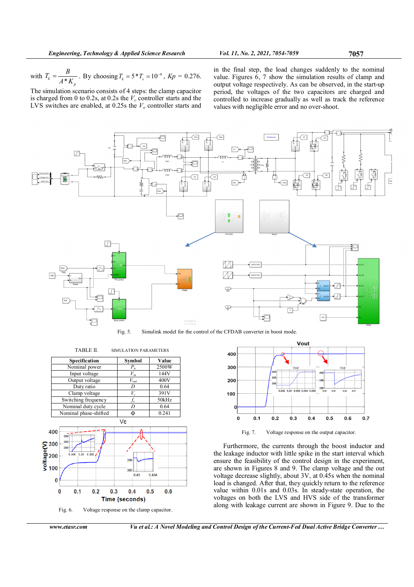with  $T_k = \frac{E}{A*K_p}$  $T_k = \frac{B}{A*K_p}$ . By choosing  $T_k = 5 * T_s = 10^{-4}$ ,  $Kp = 0.276$ .

The simulation scenario consists of 4 steps: the clamp capacitor is charged from 0 to 0.2s, at 0.2s the  $V_c$  controller starts and the LVS switches are enabled, at 0.25s the  $V<sub>o</sub>$  controller starts and in the final step, the load changes suddenly to the nominal value. Figures 6, 7 show the simulation results of clamp and output voltage respectively. As can be observed, in the start-up period, the voltages of the two capacitors are charged and controlled to increase gradually as well as track the reference values with negligible error and no over-shoot.



Fig. 5. Simulink model for the control of the CFDAB converter in boost mode.



Fig. 6. Voltage response on the clamp capacitor.



Fig. 7. Voltage response on the output capacitor.

Furthermore, the currents through the boost inductor and the leakage inductor with little spike in the start interval which ensure the feasibility of the control design in the experiment, are shown in Figures 8 and 9. The clamp voltage and the out voltage decrease slightly, about 3V, at 0.45s when the nominal load is changed. After that, they quickly return to the reference value within 0.01s and 0.03s. In steady-state operation, the voltages on both the LVS and HVS side of the transformer along with leakage current are shown in Figure 9. Due to the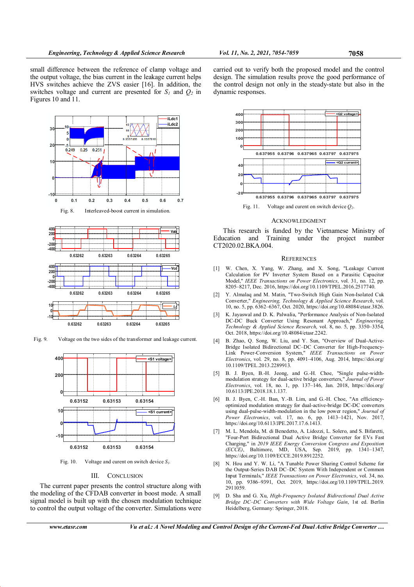small difference between the reference of clamp voltage and the output voltage, the bias current in the leakage current helps HVS switches achieve the ZVS easier [16]. In addition, the switches voltage and current are presented for  $S_1$  and  $Q_2$  in Figures 10 and 11.





Fig. 9. Voltage on the two sides of the transformer and leakage current.



Fig. 10. Voltage and curent on switch device  $S_l$ .

# III. CONCLUSION

The current paper presents the control structure along with the modeling of the CFDAB converter in boost mode. A small signal model is built up with the chosen modulation technique to control the output voltage of the converter. Simulations were

carried out to verify both the proposed model and the control design. The simulation results prove the good performance of the control design not only in the steady-state but also in the dynamic responses.



Fig. 11. Voltage and curent on switch device  $Q_2$ .

#### **ACKNOWLEDGMENT**

This research is funded by the Vietnamese Ministry of Education and Training under the project number CT2020.02.BKA.004.

#### **REFERENCES**

- [1] W. Chen, X. Yang, W. Zhang, and X. Song, "Leakage Current Calculation for PV Inverter System Based on a Parasitic Capacitor Model," IEEE Transactions on Power Electronics, vol. 31, no. 12, pp. 8205–8217, Dec. 2016, https://doi.org/10.1109/TPEL.2016.2517740.
- [2] Y. Almalaq and M. Matin, "Two-Switch High Gain Non-Isolated Cuk Converter," Engineering, Technology & Applied Science Research, vol. 10, no. 5, pp. 6362–6367, Oct. 2020, https://doi.org/10.48084/etasr.3826.
- [3] K. Jayaswal and D. K. Palwalia, "Performance Analysis of Non-Isolated DC-DC Buck Converter Using Resonant Approach," Engineering, Technology & Applied Science Research, vol. 8, no. 5, pp. 3350–3354, Oct. 2018, https://doi.org/10.48084/etasr.2242.
- [4] B. Zhao, Q. Song, W. Liu, and Y. Sun, "Overview of Dual-Active-Bridge Isolated Bidirectional DC–DC Converter for High-Frequency-Link Power-Conversion System," IEEE Transactions on Power Electronics, vol. 29, no. 8, pp. 4091–4106, Aug. 2014, https://doi.org/ 10.1109/TPEL.2013.2289913.
- [5] B. J. Byen, B.-H. Jeong, and G.-H. Choe, "Single pulse-widthmodulation strategy for dual-active bridge converters," Journal of Power Electronics, vol. 18, no. 1, pp. 137–146, Jan. 2018, https://doi.org/ 10.6113/JPE.2018.18.1.137.
- [6] B. J. Byen, C.-H. Ban, Y.-B. Lim, and G.-H. Choe, "An efficiencyoptimized modulation strategy for dual-active-bridge DC-DC converters using dual-pulse-width-modulation in the low power region," Journal of Power Electronics, vol. 17, no. 6, pp. 1413–1421, Nov. 2017, https://doi.org/10.6113/JPE.2017.17.6.1413.
- [7] M. L. Mendola, M. di Benedetto, A. Lidozzi, L. Solero, and S. Bifaretti, "Four-Port Bidirectional Dual Active Bridge Converter for EVs Fast Charging," in 2019 IEEE Energy Conversion Congress and Exposition (ECCE), Baltimore, MD, USA, Sep. 2019, pp. 1341–1347, https://doi.org/10.1109/ECCE.2019.8912252.
- [8] N. Hou and Y. W. Li, "A Tunable Power Sharing Control Scheme for the Output-Series DAB DC–DC System With Independent or Common Input Terminals," IEEE Transactions on Power Electronics, vol. 34, no. 10, pp. 9386–9391, Oct. 2019, https://doi.org/10.1109/TPEL.2019. 2911059.
- [9] D. Sha and G. Xu, High-Frequency Isolated Bidirectional Dual Active Bridge DC–DC Converters with Wide Voltage Gain, 1st ed. Berlin Heidelberg, Germany: Springer, 2018.